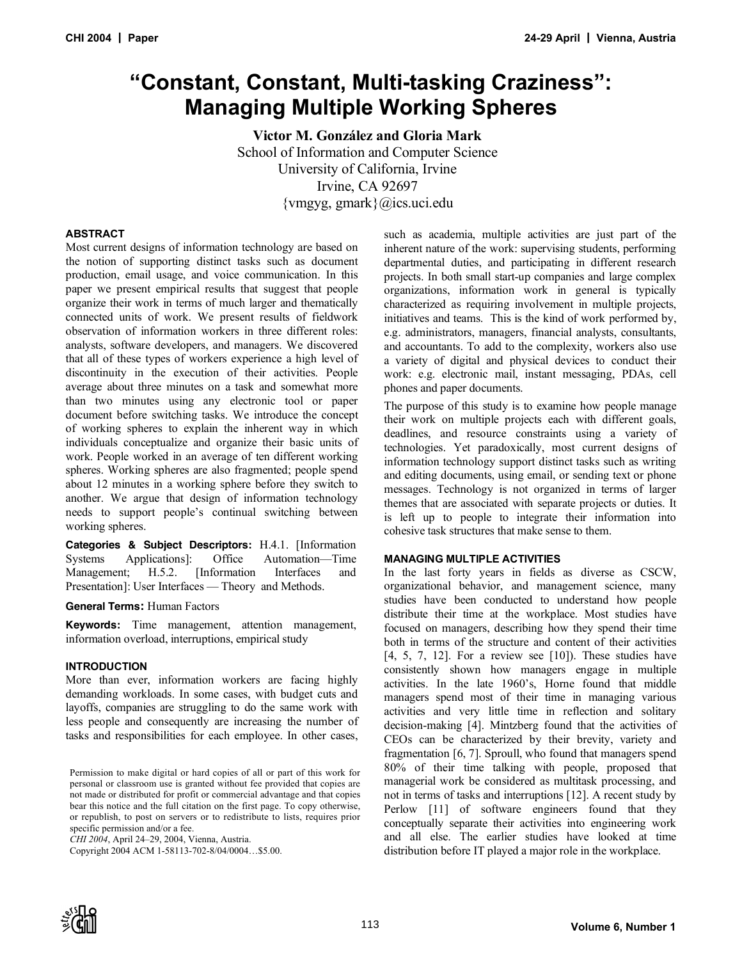# **"Constant, Constant, Multi-tasking Craziness": Managing Multiple Working Spheres**

Victor M. González and Gloria Mark School of Information and Computer Science University of California, Irvine Irvine, CA 92697 {vmgyg, gmark}@ics.uci.edu

# **ABSTRACT**

Most current designs of information technology are based on the notion of supporting distinct tasks such as document production, email usage, and voice communication. In this paper we present empirical results that suggest that people organize their work in terms of much larger and thematically connected units of work. We present results of fieldwork observation of information workers in three different roles: analysts, software developers, and managers. We discovered that all of these types of workers experience a high level of discontinuity in the execution of their activities. People average about three minutes on a task and somewhat more than two minutes using any electronic tool or paper document before switching tasks. We introduce the concept of working spheres to explain the inherent way in which individuals conceptualize and organize their basic units of work. People worked in an average of ten different working spheres. Working spheres are also fragmented; people spend about 12 minutes in a working sphere before they switch to another. We argue that design of information technology needs to support people's continual switching between working spheres.

**Categories & Subject Descriptors:** H.4.1. [Information Systems Applications]: Office Automation—Time Management; H.5.2. [Information Interfaces and Presentation]: User Interfaces — Theory and Methods.

**General Terms:** Human Factors

**Keywords:** Time management, attention management, information overload, interruptions, empirical study

# **INTRODUCTION**

More than ever, information workers are facing highly demanding workloads. In some cases, with budget cuts and layoffs, companies are struggling to do the same work with less people and consequently are increasing the number of tasks and responsibilities for each employee. In other cases,

*CHI 2004*, April 24–29, 2004, Vienna, Austria.

such as academia, multiple activities are just part of the inherent nature of the work: supervising students, performing departmental duties, and participating in different research projects. In both small start-up companies and large complex organizations, information work in general is typically characterized as requiring involvement in multiple projects, initiatives and teams. This is the kind of work performed by, e.g. administrators, managers, financial analysts, consultants, and accountants. To add to the complexity, workers also use a variety of digital and physical devices to conduct their work: e.g. electronic mail, instant messaging, PDAs, cell phones and paper documents.

The purpose of this study is to examine how people manage their work on multiple projects each with different goals, deadlines, and resource constraints using a variety of technologies. Yet paradoxically, most current designs of information technology support distinct tasks such as writing and editing documents, using email, or sending text or phone messages. Technology is not organized in terms of larger themes that are associated with separate projects or duties. It is left up to people to integrate their information into cohesive task structures that make sense to them.

## **MANAGING MULTIPLE ACTIVITIES**

In the last forty years in fields as diverse as CSCW, organizational behavior, and management science, many studies have been conducted to understand how people distribute their time at the workplace. Most studies have focused on managers, describing how they spend their time both in terms of the structure and content of their activities [4, 5, 7, 12]. For a review see [10]). These studies have consistently shown how managers engage in multiple activities. In the late 1960's, Horne found that middle managers spend most of their time in managing various activities and very little time in reflection and solitary decision-making [4]. Mintzberg found that the activities of CEOs can be characterized by their brevity, variety and fragmentation [6, 7]. Sproull, who found that managers spend 80% of their time talking with people, proposed that managerial work be considered as multitask processing, and not in terms of tasks and interruptions [12]. A recent study by Perlow [11] of software engineers found that they conceptually separate their activities into engineering work and all else. The earlier studies have looked at time distribution before IT played a major role in the workplace.



Permission to make digital or hard copies of all or part of this work for personal or classroom use is granted without fee provided that copies are not made or distributed for profit or commercial advantage and that copies bear this notice and the full citation on the first page. To copy otherwise, or republish, to post on servers or to redistribute to lists, requires prior specific permission and/or a fee.

Copyright 2004 ACM 1-58113-702-8/04/0004…\$5.00.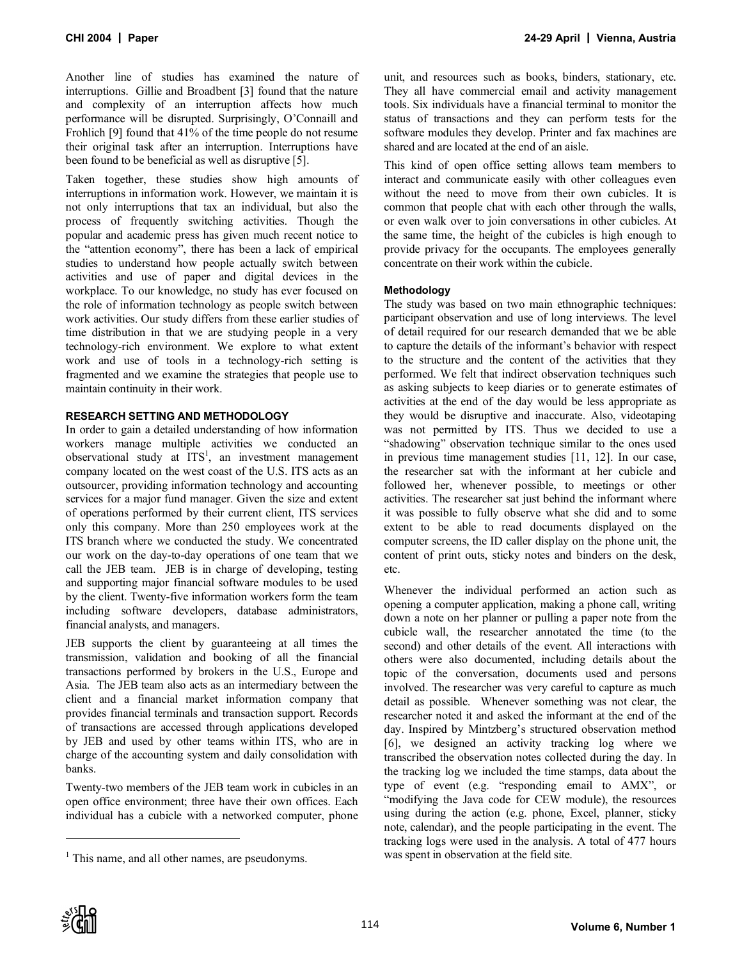Another line of studies has examined the nature of interruptions. Gillie and Broadbent [3] found that the nature and complexity of an interruption affects how much performance will be disrupted. Surprisingly, O'Connaill and Frohlich [9] found that 41% of the time people do not resume their original task after an interruption. Interruptions have been found to be beneficial as well as disruptive [5].

Taken together, these studies show high amounts of interruptions in information work. However, we maintain it is not only interruptions that tax an individual, but also the process of frequently switching activities. Though the popular and academic press has given much recent notice to the "attention economy", there has been a lack of empirical studies to understand how people actually switch between activities and use of paper and digital devices in the workplace. To our knowledge, no study has ever focused on the role of information technology as people switch between work activities. Our study differs from these earlier studies of time distribution in that we are studying people in a very technology-rich environment. We explore to what extent work and use of tools in a technology-rich setting is fragmented and we examine the strategies that people use to maintain continuity in their work.

# **RESEARCH SETTING AND METHODOLOGY**

In order to gain a detailed understanding of how information workers manage multiple activities we conducted an observational study at  $\overline{\text{ITS}}^1$ , an investment management company located on the west coast of the U.S. ITS acts as an outsourcer, providing information technology and accounting services for a major fund manager. Given the size and extent of operations performed by their current client, ITS services only this company. More than 250 employees work at the ITS branch where we conducted the study. We concentrated our work on the day-to-day operations of one team that we call the JEB team. JEB is in charge of developing, testing and supporting major financial software modules to be used by the client. Twenty-five information workers form the team including software developers, database administrators, financial analysts, and managers.

JEB supports the client by guaranteeing at all times the transmission, validation and booking of all the financial transactions performed by brokers in the U.S., Europe and Asia. The JEB team also acts as an intermediary between the client and a financial market information company that provides financial terminals and transaction support. Records of transactions are accessed through applications developed by JEB and used by other teams within ITS, who are in charge of the accounting system and daily consolidation with banks.

Twenty-two members of the JEB team work in cubicles in an open office environment; three have their own offices. Each individual has a cubicle with a networked computer, phone

unit, and resources such as books, binders, stationary, etc. They all have commercial email and activity management tools. Six individuals have a financial terminal to monitor the status of transactions and they can perform tests for the software modules they develop. Printer and fax machines are shared and are located at the end of an aisle.

This kind of open office setting allows team members to interact and communicate easily with other colleagues even without the need to move from their own cubicles. It is common that people chat with each other through the walls, or even walk over to join conversations in other cubicles. At the same time, the height of the cubicles is high enough to provide privacy for the occupants. The employees generally concentrate on their work within the cubicle.

## **Methodology**

The study was based on two main ethnographic techniques: participant observation and use of long interviews. The level of detail required for our research demanded that we be able to capture the details of the informant's behavior with respect to the structure and the content of the activities that they performed. We felt that indirect observation techniques such as asking subjects to keep diaries or to generate estimates of activities at the end of the day would be less appropriate as they would be disruptive and inaccurate. Also, videotaping was not permitted by ITS. Thus we decided to use a "shadowing" observation technique similar to the ones used in previous time management studies [11, 12]. In our case, the researcher sat with the informant at her cubicle and followed her, whenever possible, to meetings or other activities. The researcher sat just behind the informant where it was possible to fully observe what she did and to some extent to be able to read documents displayed on the computer screens, the ID caller display on the phone unit, the content of print outs, sticky notes and binders on the desk, etc.

Whenever the individual performed an action such as opening a computer application, making a phone call, writing down a note on her planner or pulling a paper note from the cubicle wall, the researcher annotated the time (to the second) and other details of the event. All interactions with others were also documented, including details about the topic of the conversation, documents used and persons involved. The researcher was very careful to capture as much detail as possible. Whenever something was not clear, the researcher noted it and asked the informant at the end of the day. Inspired by Mintzberg's structured observation method [6], we designed an activity tracking log where we transcribed the observation notes collected during the day. In the tracking log we included the time stamps, data about the type of event (e.g. "responding email to AMX", or "modifying the Java code for CEW module), the resources using during the action (e.g. phone, Excel, planner, sticky note, calendar), and the people participating in the event. The tracking logs were used in the analysis. A total of 477 hours was spent in observation at the field site.

-

<sup>&</sup>lt;sup>1</sup> This name, and all other names, are pseudonyms.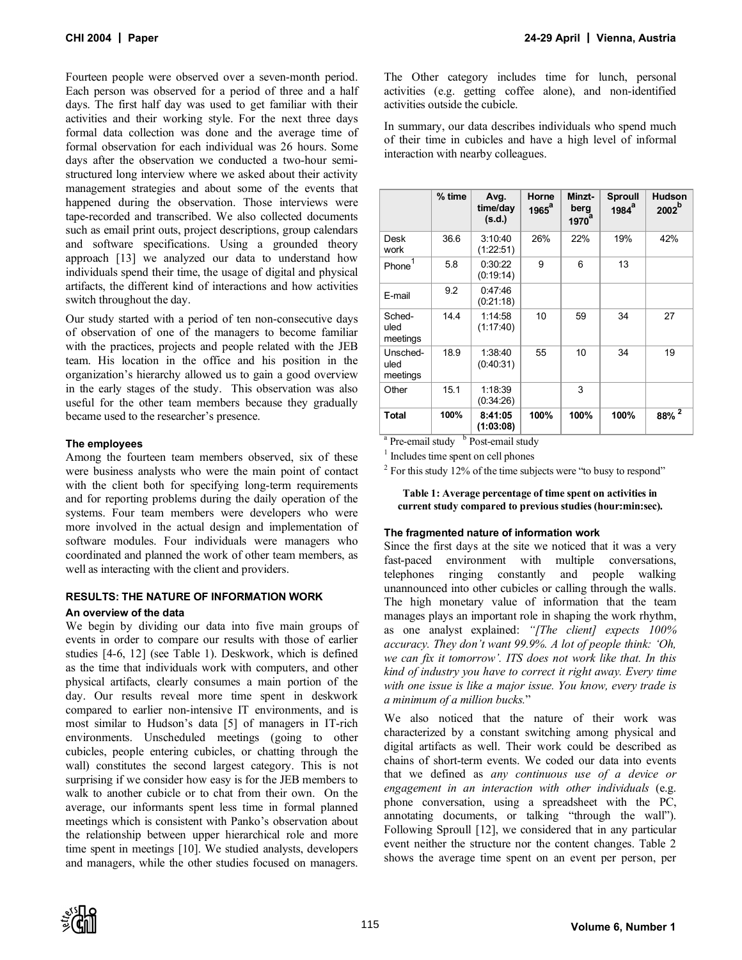Fourteen people were observed over a seven-month period. Each person was observed for a period of three and a half days. The first half day was used to get familiar with their activities and their working style. For the next three days formal data collection was done and the average time of formal observation for each individual was 26 hours. Some days after the observation we conducted a two-hour semistructured long interview where we asked about their activity management strategies and about some of the events that happened during the observation. Those interviews were tape-recorded and transcribed. We also collected documents such as email print outs, project descriptions, group calendars and software specifications. Using a grounded theory approach [13] we analyzed our data to understand how individuals spend their time, the usage of digital and physical artifacts, the different kind of interactions and how activities switch throughout the day.

Our study started with a period of ten non-consecutive days of observation of one of the managers to become familiar with the practices, projects and people related with the JEB team. His location in the office and his position in the organization's hierarchy allowed us to gain a good overview in the early stages of the study. This observation was also useful for the other team members because they gradually became used to the researcher's presence.

# **The employees**

Among the fourteen team members observed, six of these were business analysts who were the main point of contact with the client both for specifying long-term requirements and for reporting problems during the daily operation of the systems. Four team members were developers who were more involved in the actual design and implementation of software modules. Four individuals were managers who coordinated and planned the work of other team members, as well as interacting with the client and providers.

# **RESULTS: THE NATURE OF INFORMATION WORK**

# **An overview of the data**

We begin by dividing our data into five main groups of events in order to compare our results with those of earlier studies [4-6, 12] (see Table 1). Deskwork, which is defined as the time that individuals work with computers, and other physical artifacts, clearly consumes a main portion of the day. Our results reveal more time spent in deskwork compared to earlier non-intensive IT environments, and is most similar to Hudson's data [5] of managers in IT-rich environments. Unscheduled meetings (going to other cubicles, people entering cubicles, or chatting through the wall) constitutes the second largest category. This is not surprising if we consider how easy is for the JEB members to walk to another cubicle or to chat from their own. On the average, our informants spent less time in formal planned meetings which is consistent with Panko's observation about the relationship between upper hierarchical role and more time spent in meetings [10]. We studied analysts, developers and managers, while the other studies focused on managers.

The Other category includes time for lunch, personal activities (e.g. getting coffee alone), and non-identified activities outside the cubicle.

In summary, our data describes individuals who spend much of their time in cubicles and have a high level of informal interaction with nearby colleagues.

|                              | $\%$ time | Avg.<br>time/day<br>(s.d.) | Horne<br>$1965^a$ | Minzt-<br>berg<br>1970 <sup>a</sup> | <b>Sproull</b><br>$1984$ <sup>a</sup> | <b>Hudson</b><br>$2002^b$ |
|------------------------------|-----------|----------------------------|-------------------|-------------------------------------|---------------------------------------|---------------------------|
| Desk<br>work                 | 36.6      | 3:10:40<br>(1:22:51)       | 26%               | 22%                                 | 19%                                   | 42%                       |
| Phone                        | 5.8       | 0:30:22<br>(0:19:14)       | 9                 | 6                                   | 13                                    |                           |
| E-mail                       | 9.2       | 0:47:46<br>(0:21:18)       |                   |                                     |                                       |                           |
| Sched-<br>uled<br>meetings   | 14.4      | 1:14:58<br>(1:17:40)       | 10                | 59                                  | 34                                    | 27                        |
| Unsched-<br>uled<br>meetings | 18.9      | 1:38:40<br>(0:40:31)       | 55                | 10                                  | 34                                    | 19                        |
| Other                        | 15.1      | 1:18:39<br>(0:34:26)       |                   | 3                                   |                                       |                           |
| <b>Total</b>                 | 100%      | 8:41:05<br>(1:03:08)       | 100%              | 100%                                | 100%                                  | $88\%$ <sup>2</sup>       |

<sup>a</sup> Pre-email study <sup>b</sup> Post-email study

<sup>1</sup> Includes time spent on cell phones

 $2^{\circ}$  For this study 12% of the time subjects were "to busy to respond"

Table 1: Average percentage of time spent on activities in current study compared to previous studies (hour:min:sec).

## **The fragmented nature of information work**

Since the first days at the site we noticed that it was a very fast-paced environment with multiple conversations, telephones ringing constantly and people walking unannounced into other cubicles or calling through the walls. The high monetary value of information that the team manages plays an important role in shaping the work rhythm, as one analyst explained: *"[The client] expects 100% accuracy. They don't want 99.9%. A lot of people think: 'Oh, we can fix it tomorrow'. ITS does not work like that. In this kind of industry you have to correct it right away. Every time with one issue is like a major issue. You know, every trade is a minimum of a million bucks.*"

We also noticed that the nature of their work was characterized by a constant switching among physical and digital artifacts as well. Their work could be described as chains of short-term events. We coded our data into events that we defined as *any continuous use of a device or engagement in an interaction with other individuals* (e.g. phone conversation, using a spreadsheet with the PC, annotating documents, or talking "through the wall"). Following Sproull [12], we considered that in any particular event neither the structure nor the content changes. Table 2 shows the average time spent on an event per person, per

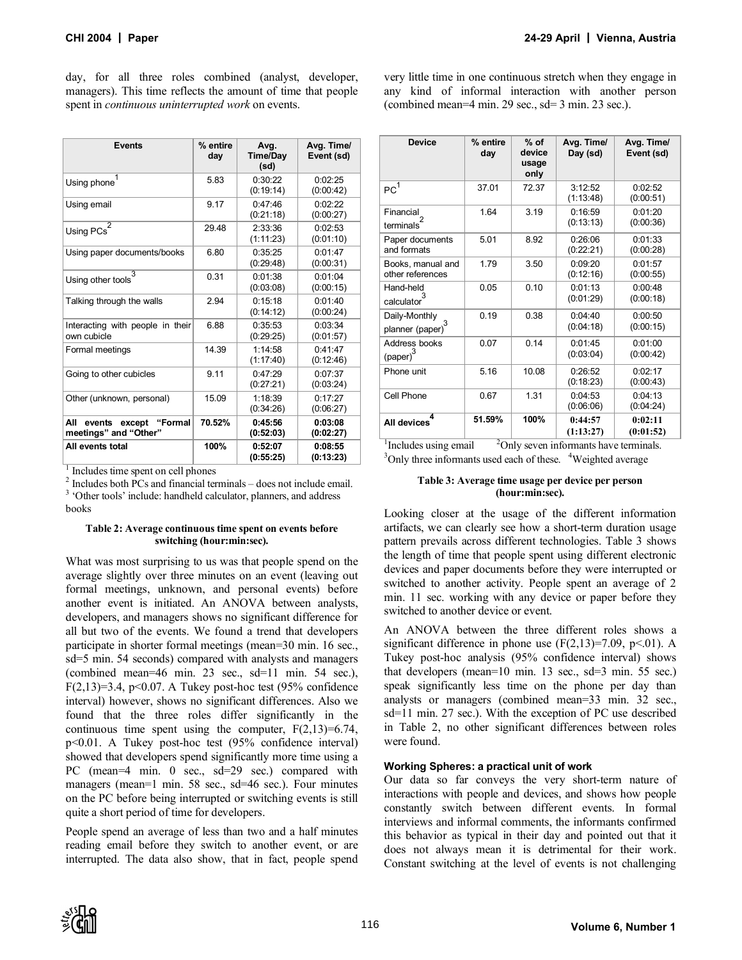day, for all three roles combined (analyst, developer, managers). This time reflects the amount of time that people spent in *continuous uninterrupted work* on events.

| <b>Events</b>                                         | % entire<br>day | Avg.<br>Time/Day<br>(sd) | Avg. Time/<br>Event (sd) |
|-------------------------------------------------------|-----------------|--------------------------|--------------------------|
| Using phone                                           | 5.83            | 0.30.22<br>(0:19:14)     | 0:02:25<br>(0:00:42)     |
| Using email                                           | 9.17            | 0:47:46<br>(0:21:18)     | 0:02:22<br>(0:00:27)     |
| Using $PCs^2$                                         | 29.48           | 2:33:36<br>(1:11:23)     | 0:02:53<br>(0:01:10)     |
| Using paper documents/books                           | 6.80            | 0:35:25<br>(0:29:48)     | 0:01:47<br>(0:00:31)     |
| Using other tools                                     | 0.31            | 0:01:38<br>(0:03:08)     | 0:01:04<br>(0:00:15)     |
| Talking through the walls                             | 2.94            | 0:15:18<br>(0:14:12)     | 0:01:40<br>(0:00:24)     |
| Interacting with people in their<br>own cubicle       | 6.88            | 0:35:53<br>(0:29:25)     | 0:03:34<br>(0:01:57)     |
| Formal meetings                                       | 14.39           | 1:14:58<br>(1:17:40)     | 0:41:47<br>(0:12:46)     |
| Going to other cubicles                               | 9.11            | 0:47:29<br>(0:27:21)     | 0:07:37<br>(0:03:24)     |
| Other (unknown, personal)                             | 15.09           | 1:18:39<br>(0:34:26)     | 0:17:27<br>(0:06:27)     |
| All events<br>except "Formal<br>meetings" and "Other" | 70.52%          | 0:45:56<br>(0:52:03)     | 0:03:08<br>(0:02:27)     |
| All events total                                      | 100%            | 0:52:07<br>(0:55:25)     | 0:08:55<br>(0:13:23)     |

<sup>1</sup> Includes time spent on cell phones  $\frac{2}{3}$  Includes both PCs and financial terminals – does not include email.  $\frac{3}{3}$  'Other tools' include: handheld calculator, planners, and address

books

#### Table 2: Average continuous time spent on events before switching (hour:min:sec).

What was most surprising to us was that people spend on the average slightly over three minutes on an event (leaving out formal meetings, unknown, and personal events) before another event is initiated. An ANOVA between analysts, developers, and managers shows no significant difference for all but two of the events. We found a trend that developers participate in shorter formal meetings (mean=30 min. 16 sec., sd=5 min. 54 seconds) compared with analysts and managers (combined mean=46 min. 23 sec., sd=11 min. 54 sec.), F(2,13)=3.4, p<0.07. A Tukey post-hoc test (95% confidence interval) however, shows no significant differences. Also we found that the three roles differ significantly in the continuous time spent using the computer,  $F(2,13)=6.74$ , p<0.01. A Tukey post-hoc test (95% confidence interval) showed that developers spend significantly more time using a PC (mean=4 min. 0 sec., sd=29 sec.) compared with managers (mean=1 min. 58 sec., sd=46 sec.). Four minutes on the PC before being interrupted or switching events is still quite a short period of time for developers.

People spend an average of less than two and a half minutes reading email before they switch to another event, or are interrupted. The data also show, that in fact, people spend

very little time in one continuous stretch when they engage in any kind of informal interaction with another person (combined mean=4 min. 29 sec., sd= 3 min. 23 sec.).

| <b>Device</b>                         | % entire<br>day | $%$ of<br>device<br>usage<br>only | Avg. Time/<br>Day (sd) | Avg. Time/<br>Event (sd) |
|---------------------------------------|-----------------|-----------------------------------|------------------------|--------------------------|
| PC <sup>1</sup>                       | 37.01           | 72.37                             | 3:12:52<br>(1:13:48)   | 0:02:52<br>(0:00:51)     |
| Financial<br>terminals <sup>*</sup>   | 1.64            | 3.19                              | 0:16:59<br>(0:13:13)   | 0:01:20<br>(0:00:36)     |
| Paper documents<br>and formats        | 5.01            | 8.92                              | 0:26:06<br>(0:22:21)   | 0:01:33<br>(0:00:28)     |
| Books, manual and<br>other references | 1.79            | 3.50                              | 0:09:20<br>(0:12:16)   | 0:01:57<br>(0:00:55)     |
| Hand-held<br>calculator               | 0.05            | 0.10                              | 0:01:13<br>(0:01:29)   | 0:00:48<br>(0:00:18)     |
| Daily-Monthly<br>planner (paper)      | 0.19            | 0.38                              | 0:04:40<br>(0:04:18)   | 0:00:50<br>(0:00:15)     |
| Address books<br>(paper)              | 0.07            | 0.14                              | 0:01:45<br>(0:03:04)   | 0:01:00<br>(0:00:42)     |
| Phone unit                            | 5.16            | 10.08                             | 0:26:52<br>(0:18:23)   | 0:02:17<br>(0:00:43)     |
| Cell Phone                            | 0.67            | 1.31                              | 0:04:53<br>(0:06:06)   | 0:04:13<br>(0:04:24)     |
| 4<br>All devices                      | 51.59%          | 100%                              | 0:44:57<br>(1:13:27)   | 0:02:11<br>(0:01:52)     |

 $1$ Includes using email  $2$ <sup>2</sup>Only seven informants have terminals.  $3$ Only three informants used each of these.  $4$ Weighted average

#### Table 3: Average time usage per device per person (hour:min:sec).

Looking closer at the usage of the different information artifacts, we can clearly see how a short-term duration usage pattern prevails across different technologies. Table 3 shows the length of time that people spent using different electronic devices and paper documents before they were interrupted or switched to another activity. People spent an average of 2 min. 11 sec. working with any device or paper before they switched to another device or event.

An ANOVA between the three different roles shows a significant difference in phone use  $(F(2,13)=7.09, p<0.1)$ . A Tukey post-hoc analysis (95% confidence interval) shows that developers (mean=10 min. 13 sec., sd=3 min. 55 sec.) speak significantly less time on the phone per day than analysts or managers (combined mean=33 min. 32 sec., sd=11 min. 27 sec.). With the exception of PC use described in Table 2, no other significant differences between roles were found.

# **Working Spheres: a practical unit of work**

Our data so far conveys the very short-term nature of interactions with people and devices, and shows how people constantly switch between different events. In formal interviews and informal comments, the informants confirmed this behavior as typical in their day and pointed out that it does not always mean it is detrimental for their work. Constant switching at the level of events is not challenging

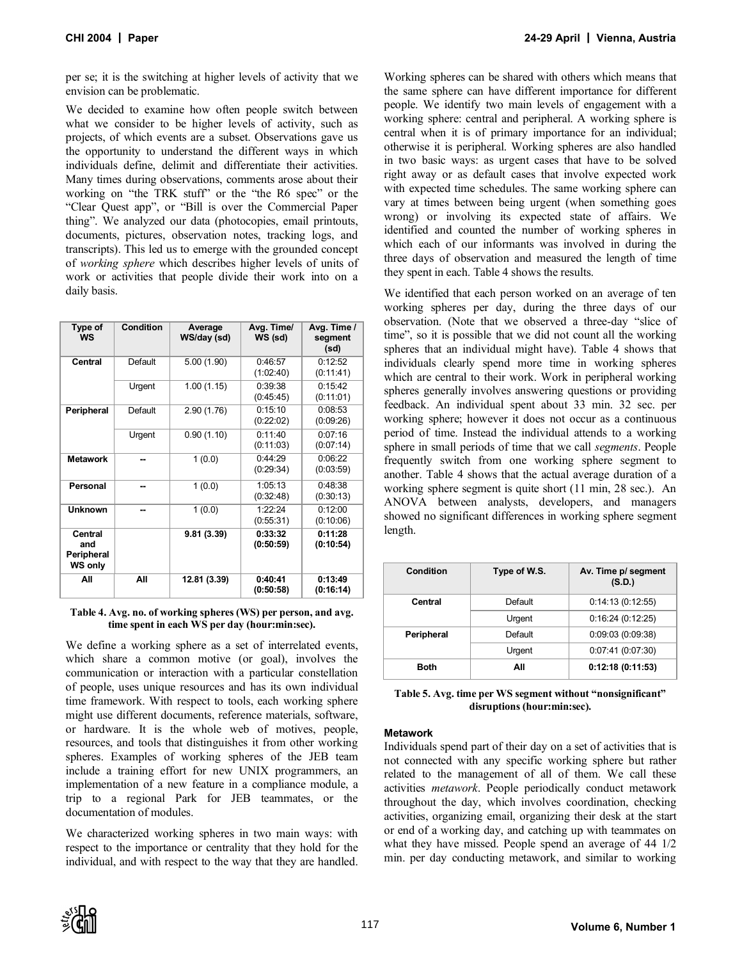per se; it is the switching at higher levels of activity that we envision can be problematic.

We decided to examine how often people switch between what we consider to be higher levels of activity, such as projects, of which events are a subset. Observations gave us the opportunity to understand the different ways in which individuals define, delimit and differentiate their activities. Many times during observations, comments arose about their working on "the TRK stuff" or the "the R6 spec" or the "Clear Quest app", or "Bill is over the Commercial Paper thing". We analyzed our data (photocopies, email printouts, documents, pictures, observation notes, tracking logs, and transcripts). This led us to emerge with the grounded concept of *working sphere* which describes higher levels of units of work or activities that people divide their work into on a daily basis.

| Type of<br><b>WS</b>                    | Condition | Average<br>WS/day (sd) | Avg. Time/<br>WS (sd)    | Avg. Time /<br>segment<br>(sd) |
|-----------------------------------------|-----------|------------------------|--------------------------|--------------------------------|
| Central                                 | Default   | 5.00(1.90)             | 0:46:57<br>(1:02:40)     | 0:12:52<br>(0:11:41)           |
|                                         | Urgent    | 1.00(1.15)             | 0:39:38<br>(0:45:45)     | 0:15:42<br>(0:11:01)           |
| Peripheral                              | Default   | 2.90(1.76)             | 0:15:10<br>(0:22:02)     | 0:08:53<br>(0:09:26)           |
|                                         | Urgent    | 0.90(1.10)             | $0.11 - 40$<br>(0:11:03) | 0:07:16<br>(0:07:14)           |
| <b>Metawork</b>                         | --        | 1(0.0)                 | 0.44.29<br>(0:29:34)     | 0:06:22<br>(0:03:59)           |
| Personal                                | --        | 1(0.0)                 | 1:05:13<br>(0:32:48)     | 0:48:38<br>(0:30:13)           |
| Unknown                                 |           | 1(0.0)                 | 1.22.24<br>(0:55:31)     | 0:12:00<br>(0:10:06)           |
| Central<br>and<br>Peripheral<br>WS only |           | 9.81(3.39)             | 0:33:32<br>(0:50:59)     | 0:11:28<br>(0:10:54)           |
| All                                     | All       | 12.81 (3.39)           | 0:40:41<br>(0:50:58)     | 0:13:49<br>(0:16:14)           |

#### Table 4. Avg. no. of working spheres (WS) per person, and avg. time spent in each WS per day (hour:min:sec).

We define a working sphere as a set of interrelated events, which share a common motive (or goal), involves the communication or interaction with a particular constellation of people, uses unique resources and has its own individual time framework. With respect to tools, each working sphere might use different documents, reference materials, software, or hardware. It is the whole web of motives, people, resources, and tools that distinguishes it from other working spheres. Examples of working spheres of the JEB team include a training effort for new UNIX programmers, an implementation of a new feature in a compliance module, a trip to a regional Park for JEB teammates, or the documentation of modules.

We characterized working spheres in two main ways: with respect to the importance or centrality that they hold for the individual, and with respect to the way that they are handled.

Working spheres can be shared with others which means that the same sphere can have different importance for different people. We identify two main levels of engagement with a working sphere: central and peripheral. A working sphere is central when it is of primary importance for an individual; otherwise it is peripheral. Working spheres are also handled in two basic ways: as urgent cases that have to be solved right away or as default cases that involve expected work with expected time schedules. The same working sphere can vary at times between being urgent (when something goes wrong) or involving its expected state of affairs. We identified and counted the number of working spheres in which each of our informants was involved in during the three days of observation and measured the length of time they spent in each. Table 4 shows the results.

We identified that each person worked on an average of ten working spheres per day, during the three days of our observation. (Note that we observed a three-day "slice of time", so it is possible that we did not count all the working spheres that an individual might have). Table 4 shows that individuals clearly spend more time in working spheres which are central to their work. Work in peripheral working spheres generally involves answering questions or providing feedback. An individual spent about 33 min. 32 sec. per working sphere; however it does not occur as a continuous period of time. Instead the individual attends to a working sphere in small periods of time that we call *segments*. People frequently switch from one working sphere segment to another. Table 4 shows that the actual average duration of a working sphere segment is quite short (11 min, 28 sec.). An ANOVA between analysts, developers, and managers showed no significant differences in working sphere segment length.

| Condition   | Type of W.S. | Av. Time p/ segment<br>(S.D.) |
|-------------|--------------|-------------------------------|
| Central     | Default      | 0:14:13(0:12:55)              |
|             | Urgent       | 0:16:24(0:12:25)              |
| Peripheral  | Default      | 0:09:03(0:09:38)              |
|             | Urgent       | 0:07:41 (0:07:30)             |
| <b>Both</b> | All          | 0:12:18(0:11:53)              |

Table 5. Avg. time per WS segment without "nonsignificant" disruptions (hour:min:sec).

# **Metawork**

Individuals spend part of their day on a set of activities that is not connected with any specific working sphere but rather related to the management of all of them. We call these activities *metawork*. People periodically conduct metawork throughout the day, which involves coordination, checking activities, organizing email, organizing their desk at the start or end of a working day, and catching up with teammates on what they have missed. People spend an average of 44 1/2 min. per day conducting metawork, and similar to working

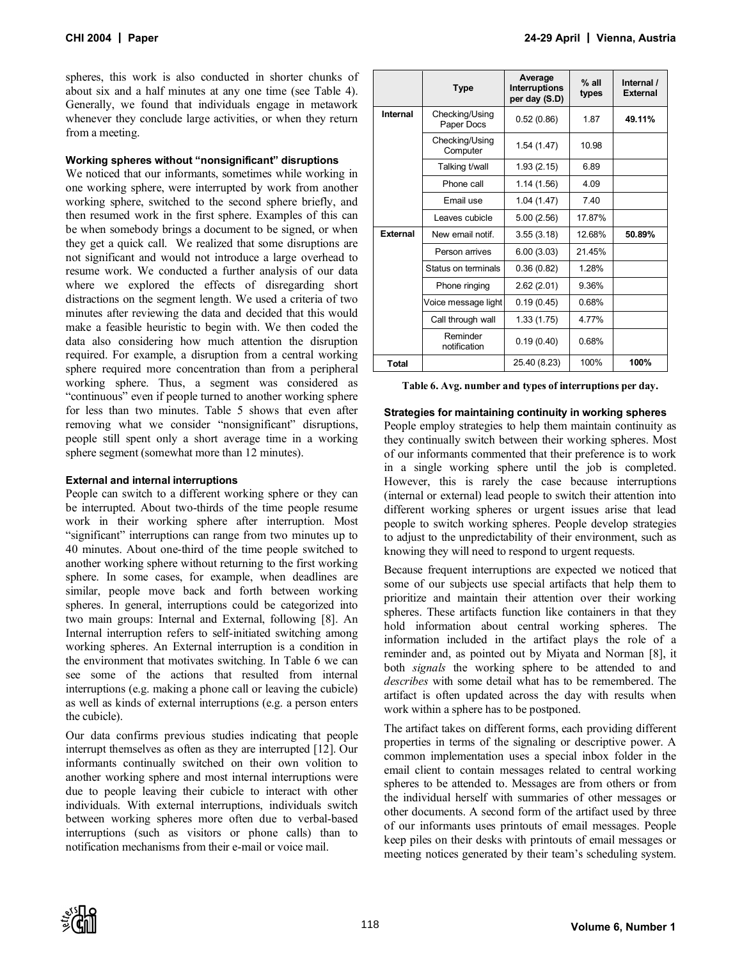spheres, this work is also conducted in shorter chunks of about six and a half minutes at any one time (see Table 4). Generally, we found that individuals engage in metawork whenever they conclude large activities, or when they return from a meeting.

# **Working spheres without "nonsignificant" disruptions**

We noticed that our informants, sometimes while working in one working sphere, were interrupted by work from another working sphere, switched to the second sphere briefly, and then resumed work in the first sphere. Examples of this can be when somebody brings a document to be signed, or when they get a quick call. We realized that some disruptions are not significant and would not introduce a large overhead to resume work. We conducted a further analysis of our data where we explored the effects of disregarding short distractions on the segment length. We used a criteria of two minutes after reviewing the data and decided that this would make a feasible heuristic to begin with. We then coded the data also considering how much attention the disruption required. For example, a disruption from a central working sphere required more concentration than from a peripheral working sphere. Thus, a segment was considered as "continuous" even if people turned to another working sphere for less than two minutes. Table 5 shows that even after removing what we consider "nonsignificant" disruptions, people still spent only a short average time in a working sphere segment (somewhat more than 12 minutes).

## **External and internal interruptions**

People can switch to a different working sphere or they can be interrupted. About two-thirds of the time people resume work in their working sphere after interruption. Most "significant" interruptions can range from two minutes up to 40 minutes. About one-third of the time people switched to another working sphere without returning to the first working sphere. In some cases, for example, when deadlines are similar, people move back and forth between working similar, people move back and form between working<br>spheres. In general, interruptions could be categorized into two main groups: Internal and External, following [8]. An Internal interruption refers to self-initiated switching among working spheres. An External interruption is a condition in the environment that motivates switching. In Table 6 we can see some of the actions that resulted from internal interruptions (e.g. making a phone call or leaving the cubicle) as well as kinds of external interruptions (e.g. a person enters the cubicle).

Our data confirms previous studies indicating that people interrupt themselves as often as they are interrupted [12]. Our informants continually switched on their own volition to another working sphere and most internal interruptions were due to people leaving their cubicle to interact with other individuals. With external interruptions, individuals switch between working spheres more often due to verbal-based interruptions (such as visitors or phone calls) than to notification mechanisms from their e-mail or voice mail.

|                 | <b>Type</b>                  | Average<br>Interruptions<br>per day (S.D) | $%$ all<br>types | Internal /<br><b>External</b> |
|-----------------|------------------------------|-------------------------------------------|------------------|-------------------------------|
| Internal        | Checking/Using<br>Paper Docs | 0.52(0.86)                                | 1.87             | 49.11%                        |
|                 | Checking/Using<br>Computer   | 1.54(1.47)                                | 10.98            |                               |
|                 | Talking t/wall               | 1.93(2.15)                                | 6.89             |                               |
|                 | Phone call                   | 1.14(1.56)                                | 4.09             |                               |
|                 | Email use                    | 1.04(1.47)                                | 740              |                               |
|                 | Leaves cubicle               | 5.00(2.56)                                | 17.87%           |                               |
| <b>External</b> | New email notif.             | 3.55(3.18)                                | 12.68%           | 50.89%                        |
|                 | Person arrives               | 6.00(3.03)                                | 21.45%           |                               |
|                 | Status on terminals          | 0.36(0.82)                                | 1.28%            |                               |
|                 | Phone ringing                | 2.62(2.01)                                | 9.36%            |                               |
|                 | Voice message light          | 0.19(0.45)                                | 0.68%            |                               |
|                 | Call through wall            | 1.33(1.75)                                | 4.77%            |                               |
|                 | Reminder<br>notification     | 0.19(0.40)                                | 0.68%            |                               |
| <b>Total</b>    |                              | 25.40 (8.23)                              | 100%             | 100%                          |

#### **Strategies for maintaining continuity in working spheres**

People employ strategies to help them maintain continuity as they continually switch between their working spheres. Most of our informants commented that their preference is to work in a single working sphere until the job is completed. However, this is rarely the case because interruptions (internal or external) lead people to switch their attention into different working spheres or urgent issues arise that lead people to switch working spheres. People develop strategies to adjust to the unpredictability of their environment, such as knowing they will need to respond to urgent requests.

Because frequent interruptions are expected we noticed that some of our subjects use special artifacts that help them to prioritize and maintain their attention over their working spheres. These artifacts function like containers in that they hold information about central working spheres. The information included in the artifact plays the role of a reminder and, as pointed out by Miyata and Norman [8], it both *signals* the working sphere to be attended to and *describes* with some detail what has to be remembered. The artifact is often updated across the day with results when work within a sphere has to be postponed.

The artifact takes on different forms, each providing different properties in terms of the signaling or descriptive power. A common implementation uses a special inbox folder in the email client to contain messages related to central working spheres to be attended to. Messages are from others or from the individual herself with summaries of other messages or other documents. A second form of the artifact used by three of our informants uses printouts of email messages. People keep piles on their desks with printouts of email messages or meeting notices generated by their team's scheduling system.

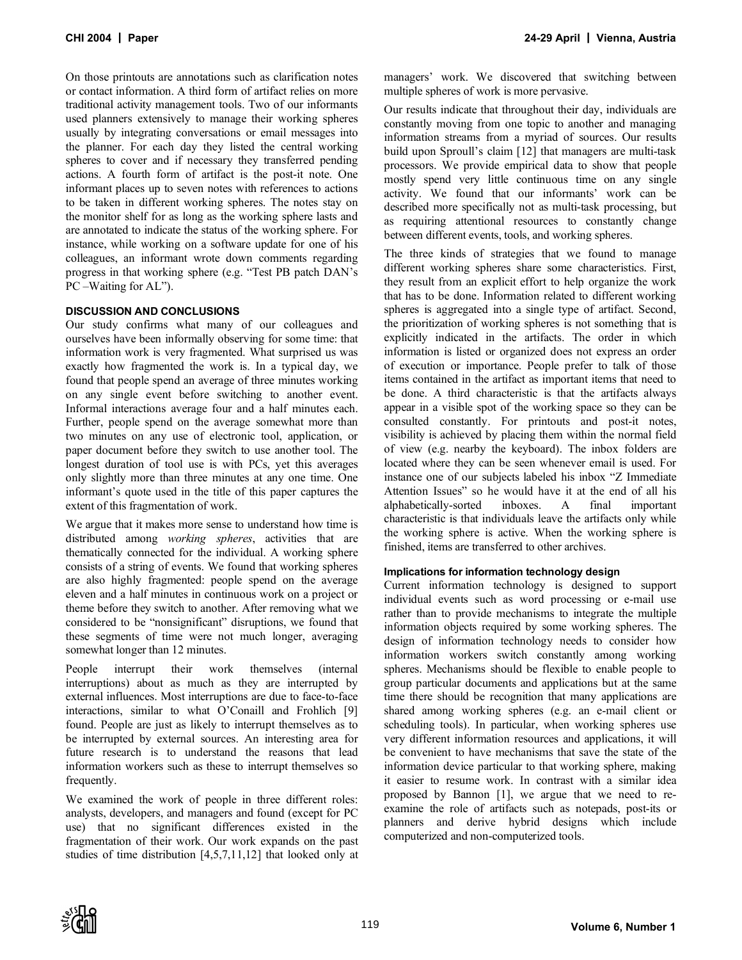On those printouts are annotations such as clarification notes or contact information. A third form of artifact relies on more traditional activity management tools. Two of our informants used planners extensively to manage their working spheres usually by integrating conversations or email messages into the planner. For each day they listed the central working spheres to cover and if necessary they transferred pending actions. A fourth form of artifact is the post-it note. One informant places up to seven notes with references to actions to be taken in different working spheres. The notes stay on the monitor shelf for as long as the working sphere lasts and are annotated to indicate the status of the working sphere. For instance, while working on a software update for one of his colleagues, an informant wrote down comments regarding progress in that working sphere (e.g. "Test PB patch DAN's PC –Waiting for AL").

# **DISCUSSION AND CONCLUSIONS**

Our study confirms what many of our colleagues and ourselves have been informally observing for some time: that information work is very fragmented. What surprised us was exactly how fragmented the work is. In a typical day, we found that people spend an average of three minutes working on any single event before switching to another event. Informal interactions average four and a half minutes each. Further, people spend on the average somewhat more than two minutes on any use of electronic tool, application, or paper document before they switch to use another tool. The longest duration of tool use is with PCs, yet this averages only slightly more than three minutes at any one time. One informant's quote used in the title of this paper captures the extent of this fragmentation of work.

We argue that it makes more sense to understand how time is distributed among *working spheres*, activities that are thematically connected for the individual. A working sphere consists of a string of events. We found that working spheres are also highly fragmented: people spend on the average eleven and a half minutes in continuous work on a project or theme before they switch to another. After removing what we considered to be "nonsignificant" disruptions, we found that these segments of time were not much longer, averaging somewhat longer than 12 minutes.

People interrupt their work themselves (internal interruptions) about as much as they are interrupted by external influences. Most interruptions are due to face-to-face interactions, similar to what O'Conaill and Frohlich [9] found. People are just as likely to interrupt themselves as to be interrupted by external sources. An interesting area for future research is to understand the reasons that lead information workers such as these to interrupt themselves so frequently.

We examined the work of people in three different roles: analysts, developers, and managers and found (except for PC use) that no significant differences existed in the fragmentation of their work. Our work expands on the past studies of time distribution [4,5,7,11,12] that looked only at

managers' work. We discovered that switching between multiple spheres of work is more pervasive.

Our results indicate that throughout their day, individuals are constantly moving from one topic to another and managing information streams from a myriad of sources. Our results build upon Sproull's claim [12] that managers are multi-task processors. We provide empirical data to show that people mostly spend very little continuous time on any single activity. We found that our informants' work can be described more specifically not as multi-task processing, but as requiring attentional resources to constantly change between different events, tools, and working spheres.

The three kinds of strategies that we found to manage different working spheres share some characteristics. First, they result from an explicit effort to help organize the work that has to be done. Information related to different working spheres is aggregated into a single type of artifact. Second, the prioritization of working spheres is not something that is explicitly indicated in the artifacts. The order in which information is listed or organized does not express an order of execution or importance. People prefer to talk of those items contained in the artifact as important items that need to be done. A third characteristic is that the artifacts always appear in a visible spot of the working space so they can be consulted constantly. For printouts and post-it notes, visibility is achieved by placing them within the normal field of view (e.g. nearby the keyboard). The inbox folders are located where they can be seen whenever email is used. For instance one of our subjects labeled his inbox "Z Immediate Attention Issues" so he would have it at the end of all his alphabetically-sorted inboxes. A final important characteristic is that individuals leave the artifacts only while the working sphere is active. When the working sphere is finished, items are transferred to other archives.

## **Implications for information technology design**

Current information technology is designed to support individual events such as word processing or e-mail use rather than to provide mechanisms to integrate the multiple information objects required by some working spheres. The design of information technology needs to consider how information workers switch constantly among working spheres. Mechanisms should be flexible to enable people to group particular documents and applications but at the same time there should be recognition that many applications are shared among working spheres (e.g. an e-mail client or scheduling tools). In particular, when working spheres use very different information resources and applications, it will be convenient to have mechanisms that save the state of the information device particular to that working sphere, making it easier to resume work. In contrast with a similar idea proposed by Bannon [1], we argue that we need to reexamine the role of artifacts such as notepads, post-its or planners and derive hybrid designs which include computerized and non-computerized tools.